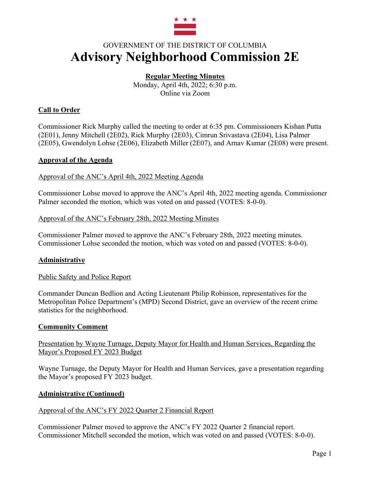

# GOVERNMENT OF THE DISTRICT OF COLUMBIA **Advisory Neighborhood Commission 2E**

# **Regular Meeting Minutes**

Monday, April 4th, 2022; 6:30 p.m. Online via Zoom

# **Call to Order**

Commissioner Rick Murphy called the meeting to order at 6:35 pm. Commissioners Kishan Putta (2E01), Jenny Mitchell (2E02), Rick Murphy (2E03), Cimrun Srivastava (2E04), Lisa Palmer (2E05), Gwendolyn Lohse (2E06), Elizabeth Miller (2E07), and Arnav Kumar (2E08) were present.

#### **Approval of the Agenda**

#### Approval of the ANC's April 4th, 2022 Meeting Agenda

Commissioner Lohse moved to approve the ANC's April 4th, 2022 meeting agenda. Commissioner Palmer seconded the motion, which was voted on and passed (VOTES: 8-0-0).

#### Approval of the ANC's February 28th, 2022 Meeting Minutes

Commissioner Palmer moved to approve the ANC's February 28th, 2022 meeting minutes. Commissioner Lohse seconded the motion, which was voted on and passed (VOTES: 8-0-0).

# **Administrative**

#### Public Safety and Police Report

Commander Duncan Bedlion and Acting Lieutenant Philip Robinson, representatives for the Metropolitan Police Department's (MPD) Second District, gave an overview of the recent crime statistics for the neighborhood.

#### **Community Comment**

#### Presentation by Wayne Turnage, Deputy Mayor for Health and Human Services, Regarding the Mayor's Proposed FY 2023 Budget

Wayne Turnage, the Deputy Mayor for Health and Human Services, gave a presentation regarding the Mayor's proposed FY 2023 budget.

# **Administrative (Continued)**

# Approval of the ANC's FY 2022 Quarter 2 Financial Report

Commissioner Palmer moved to approve the ANC's FY 2022 Quarter 2 financial report. Commissioner Mitchell seconded the motion, which was voted on and passed (VOTES: 8-0-0).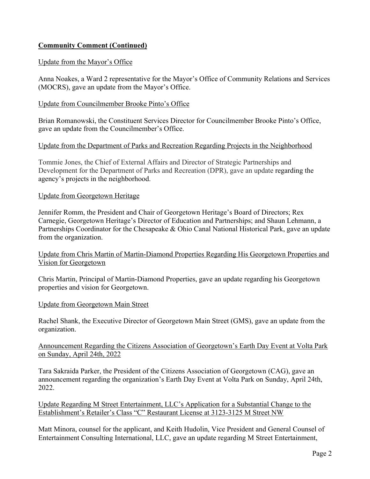# **Community Comment (Continued)**

#### Update from the Mayor's Office

Anna Noakes, a Ward 2 representative for the Mayor's Office of Community Relations and Services (MOCRS), gave an update from the Mayor's Office.

#### Update from Councilmember Brooke Pinto's Office

Brian Romanowski, the Constituent Services Director for Councilmember Brooke Pinto's Office, gave an update from the Councilmember's Office.

#### Update from the Department of Parks and Recreation Regarding Projects in the Neighborhood

Tommie Jones, the Chief of External Affairs and Director of Strategic Partnerships and Development for the Department of Parks and Recreation (DPR), gave an update regarding the agency's projects in the neighborhood.

#### Update from Georgetown Heritage

Jennifer Romm, the President and Chair of Georgetown Heritage's Board of Directors; Rex Carnegie, Georgetown Heritage's Director of Education and Partnerships; and Shaun Lehmann, a Partnerships Coordinator for the Chesapeake & Ohio Canal National Historical Park, gave an update from the organization.

#### Update from Chris Martin of Martin-Diamond Properties Regarding His Georgetown Properties and Vision for Georgetown

Chris Martin, Principal of Martin-Diamond Properties, gave an update regarding his Georgetown properties and vision for Georgetown.

#### Update from Georgetown Main Street

Rachel Shank, the Executive Director of Georgetown Main Street (GMS), gave an update from the organization.

#### Announcement Regarding the Citizens Association of Georgetown's Earth Day Event at Volta Park on Sunday, April 24th, 2022

Tara Sakraida Parker, the President of the Citizens Association of Georgetown (CAG), gave an announcement regarding the organization's Earth Day Event at Volta Park on Sunday, April 24th, 2022.

#### Update Regarding M Street Entertainment, LLC's Application for a Substantial Change to the Establishment's Retailer's Class "C" Restaurant License at 3123-3125 M Street NW

Matt Minora, counsel for the applicant, and Keith Hudolin, Vice President and General Counsel of Entertainment Consulting International, LLC, gave an update regarding M Street Entertainment,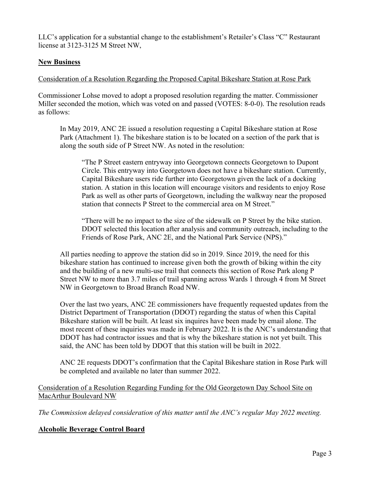LLC's application for a substantial change to the establishment's Retailer's Class "C" Restaurant license at 3123-3125 M Street NW,

# **New Business**

# Consideration of a Resolution Regarding the Proposed Capital Bikeshare Station at Rose Park

Commissioner Lohse moved to adopt a proposed resolution regarding the matter. Commissioner Miller seconded the motion, which was voted on and passed (VOTES: 8-0-0). The resolution reads as follows:

In May 2019, ANC 2E issued a resolution requesting a Capital Bikeshare station at Rose Park (Attachment 1). The bikeshare station is to be located on a section of the park that is along the south side of P Street NW. As noted in the resolution:

"The P Street eastern entryway into Georgetown connects Georgetown to Dupont Circle. This entryway into Georgetown does not have a bikeshare station. Currently, Capital Bikeshare users ride further into Georgetown given the lack of a docking station. A station in this location will encourage visitors and residents to enjoy Rose Park as well as other parts of Georgetown, including the walkway near the proposed station that connects P Street to the commercial area on M Street."

"There will be no impact to the size of the sidewalk on P Street by the bike station. DDOT selected this location after analysis and community outreach, including to the Friends of Rose Park, ANC 2E, and the National Park Service (NPS)."

All parties needing to approve the station did so in 2019. Since 2019, the need for this bikeshare station has continued to increase given both the growth of biking within the city and the building of a new multi-use trail that connects this section of Rose Park along P Street NW to more than 3.7 miles of trail spanning across Wards 1 through 4 from M Street NW in Georgetown to Broad Branch Road NW.

Over the last two years, ANC 2E commissioners have frequently requested updates from the District Department of Transportation (DDOT) regarding the status of when this Capital Bikeshare station will be built. At least six inquires have been made by email alone. The most recent of these inquiries was made in February 2022. It is the ANC's understanding that DDOT has had contractor issues and that is why the bikeshare station is not yet built. This said, the ANC has been told by DDOT that this station will be built in 2022.

ANC 2E requests DDOT's confirmation that the Capital Bikeshare station in Rose Park will be completed and available no later than summer 2022.

# Consideration of a Resolution Regarding Funding for the Old Georgetown Day School Site on MacArthur Boulevard NW

*The Commission delayed consideration of this matter until the ANC's regular May 2022 meeting.*

# **Alcoholic Beverage Control Board**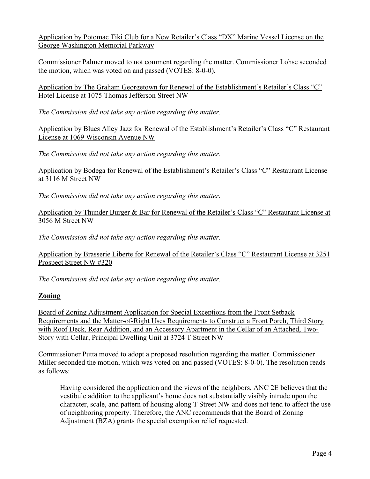Application by Potomac Tiki Club for a New Retailer's Class "DX" Marine Vessel License on the George Washington Memorial Parkway

Commissioner Palmer moved to not comment regarding the matter. Commissioner Lohse seconded the motion, which was voted on and passed (VOTES: 8-0-0).

Application by The Graham Georgetown for Renewal of the Establishment's Retailer's Class "C" Hotel License at 1075 Thomas Jefferson Street NW

*The Commission did not take any action regarding this matter.*

Application by Blues Alley Jazz for Renewal of the Establishment's Retailer's Class "C" Restaurant License at 1069 Wisconsin Avenue NW

*The Commission did not take any action regarding this matter.*

Application by Bodega for Renewal of the Establishment's Retailer's Class "C" Restaurant License at 3116 M Street NW

*The Commission did not take any action regarding this matter.*

Application by Thunder Burger & Bar for Renewal of the Retailer's Class "C" Restaurant License at 3056 M Street NW

*The Commission did not take any action regarding this matter.*

Application by Brasserie Liberte for Renewal of the Retailer's Class "C" Restaurant License at 3251 Prospect Street NW #320

*The Commission did not take any action regarding this matter.*

# **Zoning**

Board of Zoning Adjustment Application for Special Exceptions from the Front Setback Requirements and the Matter-of-Right Uses Requirements to Construct a Front Porch, Third Story with Roof Deck, Rear Addition, and an Accessory Apartment in the Cellar of an Attached, Two-Story with Cellar, Principal Dwelling Unit at 3724 T Street NW

Commissioner Putta moved to adopt a proposed resolution regarding the matter. Commissioner Miller seconded the motion, which was voted on and passed (VOTES: 8-0-0). The resolution reads as follows:

Having considered the application and the views of the neighbors, ANC 2E believes that the vestibule addition to the applicant's home does not substantially visibly intrude upon the character, scale, and pattern of housing along T Street NW and does not tend to affect the use of neighboring property. Therefore, the ANC recommends that the Board of Zoning Adjustment (BZA) grants the special exemption relief requested.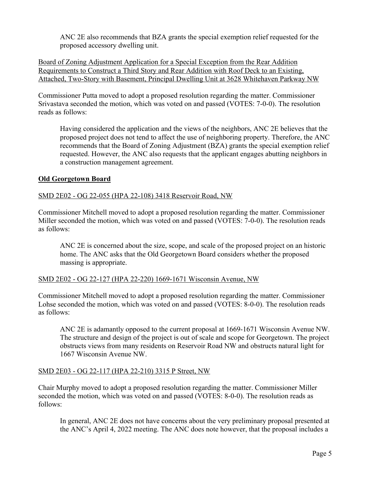ANC 2E also recommends that BZA grants the special exemption relief requested for the proposed accessory dwelling unit.

Board of Zoning Adjustment Application for a Special Exception from the Rear Addition Requirements to Construct a Third Story and Rear Addition with Roof Deck to an Existing, Attached, Two-Story with Basement, Principal Dwelling Unit at 3628 Whitehaven Parkway NW

Commissioner Putta moved to adopt a proposed resolution regarding the matter. Commissioner Srivastava seconded the motion, which was voted on and passed (VOTES: 7-0-0). The resolution reads as follows:

Having considered the application and the views of the neighbors, ANC 2E believes that the proposed project does not tend to affect the use of neighboring property. Therefore, the ANC recommends that the Board of Zoning Adjustment (BZA) grants the special exemption relief requested. However, the ANC also requests that the applicant engages abutting neighbors in a construction management agreement.

# **Old Georgetown Board**

# SMD 2E02 - OG 22-055 (HPA 22-108) 3418 Reservoir Road, NW

Commissioner Mitchell moved to adopt a proposed resolution regarding the matter. Commissioner Miller seconded the motion, which was voted on and passed (VOTES: 7-0-0). The resolution reads as follows:

ANC 2E is concerned about the size, scope, and scale of the proposed project on an historic home. The ANC asks that the Old Georgetown Board considers whether the proposed massing is appropriate.

# SMD 2E02 - OG 22-127 (HPA 22-220) 1669-1671 Wisconsin Avenue, NW

Commissioner Mitchell moved to adopt a proposed resolution regarding the matter. Commissioner Lohse seconded the motion, which was voted on and passed (VOTES: 8-0-0). The resolution reads as follows:

ANC 2E is adamantly opposed to the current proposal at 1669-1671 Wisconsin Avenue NW. The structure and design of the project is out of scale and scope for Georgetown. The project obstructs views from many residents on Reservoir Road NW and obstructs natural light for 1667 Wisconsin Avenue NW.

# SMD 2E03 - OG 22-117 (HPA 22-210) 3315 P Street, NW

Chair Murphy moved to adopt a proposed resolution regarding the matter. Commissioner Miller seconded the motion, which was voted on and passed (VOTES: 8-0-0). The resolution reads as follows:

In general, ANC 2E does not have concerns about the very preliminary proposal presented at the ANC's April 4, 2022 meeting. The ANC does note however, that the proposal includes a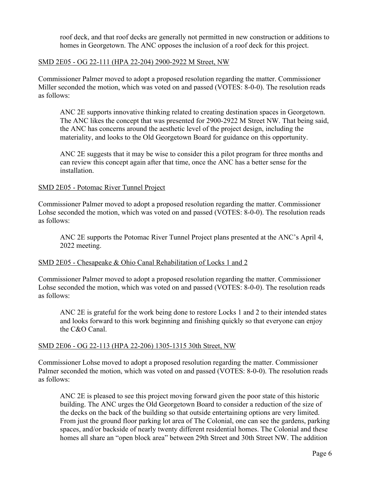roof deck, and that roof decks are generally not permitted in new construction or additions to homes in Georgetown. The ANC opposes the inclusion of a roof deck for this project.

#### SMD 2E05 - OG 22-111 (HPA 22-204) 2900-2922 M Street, NW

Commissioner Palmer moved to adopt a proposed resolution regarding the matter. Commissioner Miller seconded the motion, which was voted on and passed (VOTES: 8-0-0). The resolution reads as follows:

ANC 2E supports innovative thinking related to creating destination spaces in Georgetown. The ANC likes the concept that was presented for 2900-2922 M Street NW. That being said, the ANC has concerns around the aesthetic level of the project design, including the materiality, and looks to the Old Georgetown Board for guidance on this opportunity.

ANC 2E suggests that it may be wise to consider this a pilot program for three months and can review this concept again after that time, once the ANC has a better sense for the installation.

#### SMD 2E05 - Potomac River Tunnel Project

Commissioner Palmer moved to adopt a proposed resolution regarding the matter. Commissioner Lohse seconded the motion, which was voted on and passed (VOTES: 8-0-0). The resolution reads as follows:

ANC 2E supports the Potomac River Tunnel Project plans presented at the ANC's April 4, 2022 meeting.

#### SMD 2E05 - Chesapeake & Ohio Canal Rehabilitation of Locks 1 and 2

Commissioner Palmer moved to adopt a proposed resolution regarding the matter. Commissioner Lohse seconded the motion, which was voted on and passed (VOTES: 8-0-0). The resolution reads as follows:

ANC 2E is grateful for the work being done to restore Locks 1 and 2 to their intended states and looks forward to this work beginning and finishing quickly so that everyone can enjoy the C&O Canal.

#### SMD 2E06 - OG 22-113 (HPA 22-206) 1305-1315 30th Street, NW

Commissioner Lohse moved to adopt a proposed resolution regarding the matter. Commissioner Palmer seconded the motion, which was voted on and passed (VOTES: 8-0-0). The resolution reads as follows:

ANC 2E is pleased to see this project moving forward given the poor state of this historic building. The ANC urges the Old Georgetown Board to consider a reduction of the size of the decks on the back of the building so that outside entertaining options are very limited. From just the ground floor parking lot area of The Colonial, one can see the gardens, parking spaces, and/or backside of nearly twenty different residential homes. The Colonial and these homes all share an "open block area" between 29th Street and 30th Street NW. The addition